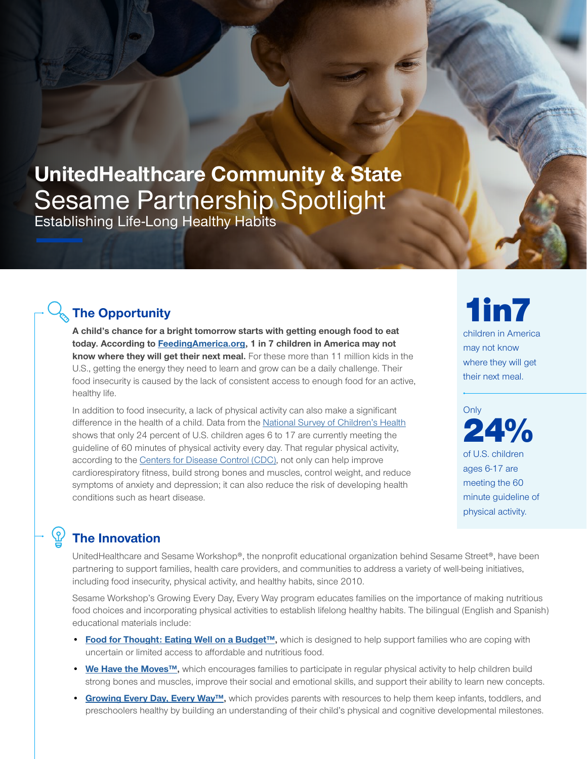## **UnitedHealthcare Community & State**  Sesame Partnership Spotlight

Establishing Life-Long Healthy Habits

## **The Opportunity**

**A child's chance for a bright tomorrow starts with getting enough food to eat today. According to [FeedingAmerica.org,](https://www.feedingamerica.org/hunger-in-america/child-hunger-facts) 1 in 7 children in America may not know where they will get their next meal.** For these more than 11 million kids in the U.S., getting the energy they need to learn and grow can be a daily challenge. Their food insecurity is caused by the lack of consistent access to enough food for an active, healthy life.

In addition to food insecurity, a lack of physical activity can also make a significant difference in the health of a child. Data from the [National Survey of Children's Health](https://www.cdc.gov/healthyschools/physicalactivity/facts.htm) shows that only 24 percent of U.S. children ages 6 to 17 are currently meeting the guideline of 60 minutes of physical activity every day. That regular physical activity, according to the [Centers for Disease Control \(CDC\)](https://www.cdc.gov/physicalactivity/resources/recommendations.html), not only can help improve cardiorespiratory fitness, build strong bones and muscles, control weight, and reduce symptoms of anxiety and depression; it can also reduce the risk of developing health conditions such as heart disease.

children in America may not know where they will get 1in7

their next meal.

of U.S. children ages 6-17 are meeting the 60 minute guideline of physical activity. **Only** 24%

## **The Innovation**

UnitedHealthcare and Sesame Workshop®, the nonprofit educational organization behind Sesame Street®, have been partnering to support families, health care providers, and communities to address a variety of well-being initiatives, including food insecurity, physical activity, and healthy habits, since 2010.

Sesame Workshop's Growing Every Day, Every Way program educates families on the importance of making nutritious food choices and incorporating physical activities to establish lifelong healthy habits. The bilingual (English and Spanish) educational materials include:

- **• [Food for Thought: Eating Well on a Budget™,](https://www.sesamestreet.org/toolkits/food)** which is designed to help support families who are coping with uncertain or limited access to affordable and nutritious food.
- **• [We Have the Moves™,](https://www.sesamestreet.org/toolkits/healthyhabits)** which encourages families to participate in regular physical activity to help children build strong bones and muscles, improve their social and emotional skills, and support their ability to learn new concepts.
- **• [Growing Every Day, Every Way™](https://www.sesamestreet.org/toolkits/stages),** which provides parents with resources to help them keep infants, toddlers, and preschoolers healthy by building an understanding of their child's physical and cognitive developmental milestones.